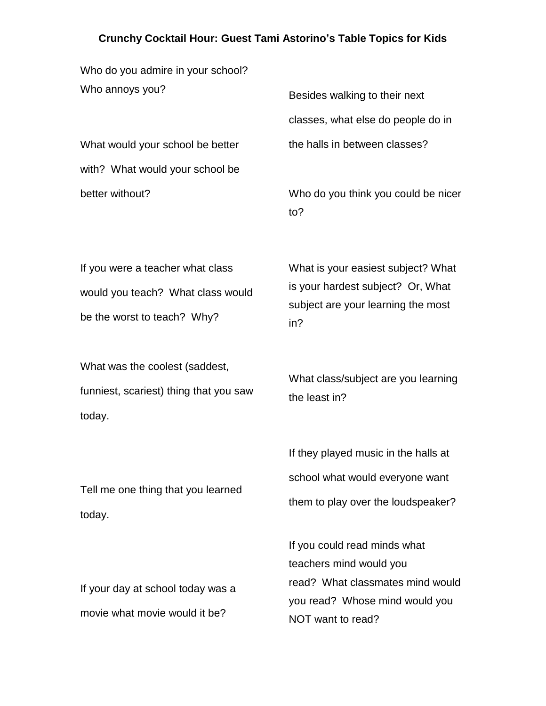## **Crunchy Cocktail Hour: Guest Tami Astorino's Table Topics for Kids**

Who do you admire in your school? Who annoys you?

What would your school be better with? What would your school be better without?

Besides walking to their next classes, what else do people do in the halls in between classes?

Who do you think you could be nicer to?

If you were a teacher what class would you teach? What class would be the worst to teach? Why?

What was the coolest (saddest, funniest, scariest) thing that you saw today.

Tell me one thing that you learned today.

What is your easiest subject? What is your hardest subject? Or, What subject are your learning the most in?

What class/subject are you learning the least in?

If they played music in the halls at school what would everyone want them to play over the loudspeaker?

If you could read minds what teachers mind would you read? What classmates mind would you read? Whose mind would you NOT want to read?

If your day at school today was a movie what movie would it be?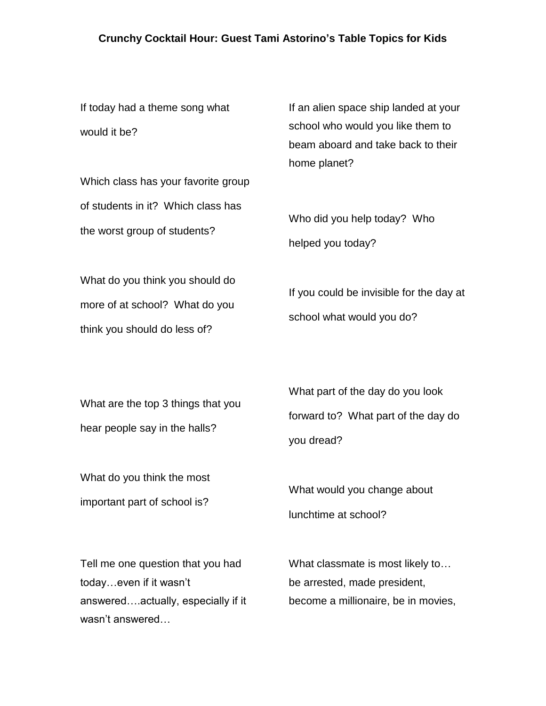## **Crunchy Cocktail Hour: Guest Tami Astorino's Table Topics for Kids**

If today had a theme song what would it be?

Which class has your favorite group of students in it? Which class has the worst group of students?

If an alien space ship landed at your school who would you like them to beam aboard and take back to their home planet?

Who did you help today? Who helped you today?

What do you think you should do more of at school? What do you think you should do less of?

If you could be invisible for the day at school what would you do?

What are the top 3 things that you hear people say in the halls?

What do you think the most important part of school is?

What part of the day do you look forward to? What part of the day do you dread?

What would you change about lunchtime at school?

Tell me one question that you had today…even if it wasn't answered….actually, especially if it wasn't answered…

What classmate is most likely to… be arrested, made president, become a millionaire, be in movies,